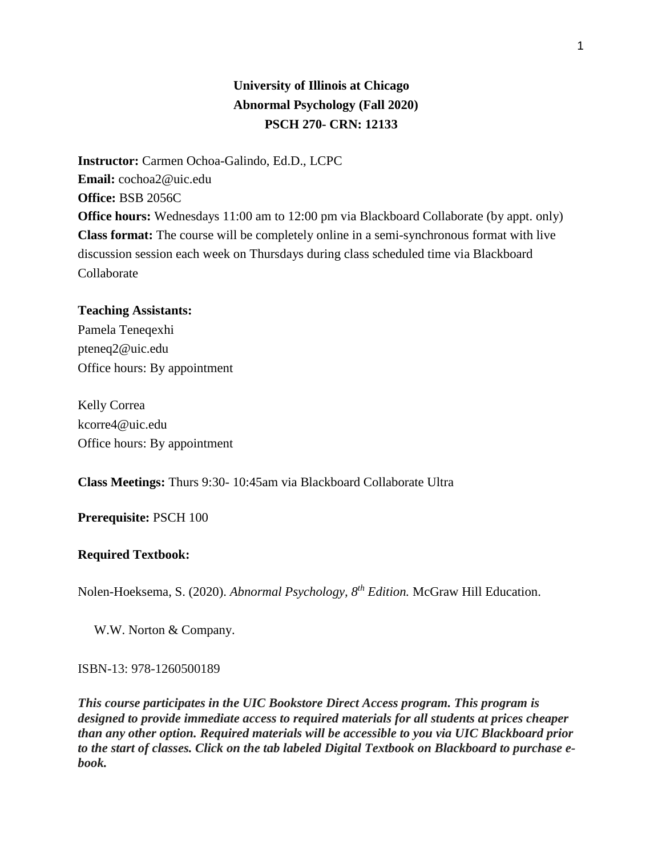# **University of Illinois at Chicago Abnormal Psychology (Fall 2020) PSCH 270- CRN: 12133**

**Instructor:** Carmen Ochoa-Galindo, Ed.D., LCPC **Email:** cochoa2@uic.edu **Office:** BSB 2056C **Office hours:** Wednesdays 11:00 am to 12:00 pm via Blackboard Collaborate (by appt. only) **Class format:** The course will be completely online in a semi-synchronous format with live discussion session each week on Thursdays during class scheduled time via Blackboard Collaborate

#### **Teaching Assistants:**

Pamela Teneqexhi pteneq2@uic.edu Office hours: By appointment

Kelly Correa kcorre4@uic.edu Office hours: By appointment

**Class Meetings:** Thurs 9:30- 10:45am via Blackboard Collaborate Ultra

### **Prerequisite:** PSCH 100

#### **Required Textbook:**

Nolen-Hoeksema, S. (2020). *Abnormal Psychology, 8th Edition.* McGraw Hill Education.

W.W. Norton & Company.

ISBN-13: 978-1260500189

*This course participates in the UIC Bookstore Direct Access program. This program is designed to provide immediate access to required materials for all students at prices cheaper than any other option. Required materials will be accessible to you via UIC Blackboard prior to the start of classes. Click on the tab labeled Digital Textbook on Blackboard to purchase ebook.*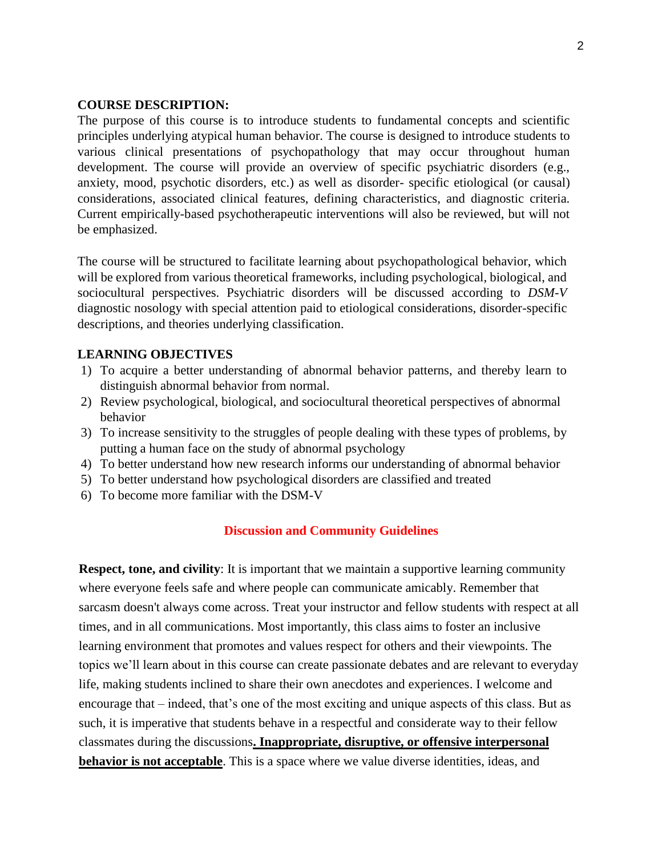#### **COURSE DESCRIPTION:**

The purpose of this course is to introduce students to fundamental concepts and scientific principles underlying atypical human behavior. The course is designed to introduce students to various clinical presentations of psychopathology that may occur throughout human development. The course will provide an overview of specific psychiatric disorders (e.g., anxiety, mood, psychotic disorders, etc.) as well as disorder- specific etiological (or causal) considerations, associated clinical features, defining characteristics, and diagnostic criteria. Current empirically-based psychotherapeutic interventions will also be reviewed, but will not be emphasized.

The course will be structured to facilitate learning about psychopathological behavior, which will be explored from various theoretical frameworks, including psychological, biological, and sociocultural perspectives. Psychiatric disorders will be discussed according to *DSM-V* diagnostic nosology with special attention paid to etiological considerations, disorder-specific descriptions, and theories underlying classification.

### **LEARNING OBJECTIVES**

- 1) To acquire a better understanding of abnormal behavior patterns, and thereby learn to distinguish abnormal behavior from normal.
- 2) Review psychological, biological, and sociocultural theoretical perspectives of abnormal behavior
- 3) To increase sensitivity to the struggles of people dealing with these types of problems, by putting a human face on the study of abnormal psychology
- 4) To better understand how new research informs our understanding of abnormal behavior
- 5) To better understand how psychological disorders are classified and treated
- 6) To become more familiar with the DSM-V

#### **Discussion and Community Guidelines**

**Respect, tone, and civility**: It is important that we maintain a supportive learning community where everyone feels safe and where people can communicate amicably. Remember that sarcasm doesn't always come across. Treat your instructor and fellow students with respect at all times, and in all communications. Most importantly, this class aims to foster an inclusive learning environment that promotes and values respect for others and their viewpoints. The topics we'll learn about in this course can create passionate debates and are relevant to everyday life, making students inclined to share their own anecdotes and experiences. I welcome and encourage that – indeed, that's one of the most exciting and unique aspects of this class. But as such, it is imperative that students behave in a respectful and considerate way to their fellow classmates during the discussions**. Inappropriate, disruptive, or offensive interpersonal behavior is not acceptable**. This is a space where we value diverse identities, ideas, and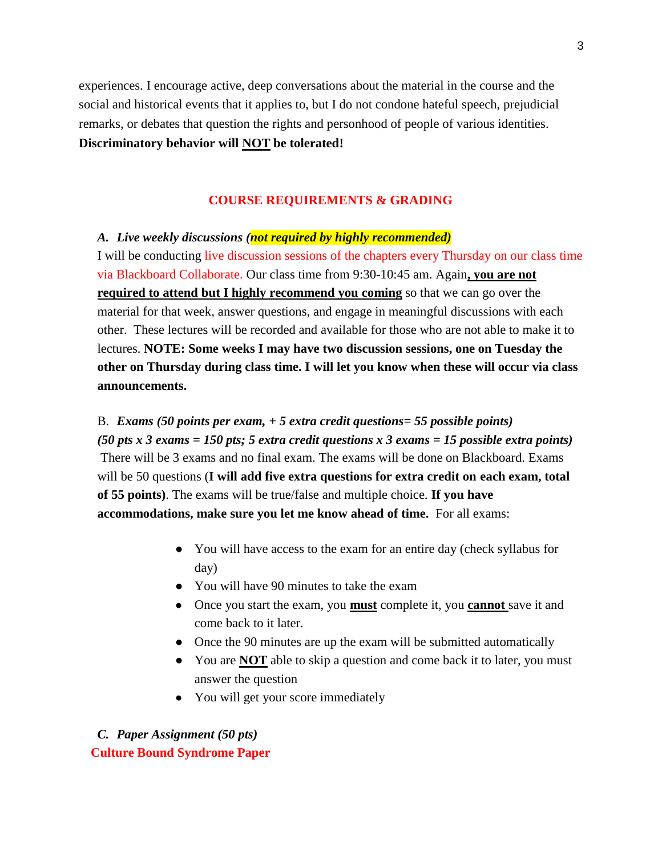experiences. I encourage active, deep conversations about the material in the course and the social and historical events that it applies to, but I do not condone hateful speech, prejudicial remarks, or debates that question the rights and personhood of people of various identities. **Discriminatory behavior will NOT be tolerated!**

## **COURSE REQUIREMENTS & GRADING**

#### *A. Live weekly discussions (not required by highly recommended)*

I will be conducting live discussion sessions of the chapters every Thursday on our class time via Blackboard Collaborate. Our class time from 9:30-10:45 am. Again**, you are not required to attend but I highly recommend you coming** so that we can go over the material for that week, answer questions, and engage in meaningful discussions with each other. These lectures will be recorded and available for those who are not able to make it to lectures. **NOTE: Some weeks I may have two discussion sessions, one on Tuesday the other on Thursday during class time. I will let you know when these will occur via class announcements.**

B. *Exams (50 points per exam, + 5 extra credit questions= 55 possible points) (50 pts x 3 exams = 150 pts; 5 extra credit questions x 3 exams = 15 possible extra points)* There will be 3 exams and no final exam. The exams will be done on Blackboard. Exams will be 50 questions (**I will add five extra questions for extra credit on each exam, total of 55 points)**. The exams will be true/false and multiple choice. **If you have accommodations, make sure you let me know ahead of time.** For all exams:

- You will have access to the exam for an entire day (check syllabus for day)
- You will have 90 minutes to take the exam
- Once you start the exam, you **must** complete it, you **cannot** save it and come back to it later.
- Once the 90 minutes are up the exam will be submitted automatically
- You are **NOT** able to skip a question and come back it to later, you must answer the question
- You will get your score immediately

# *C. Paper Assignment (50 pts)*  **Culture Bound Syndrome Paper**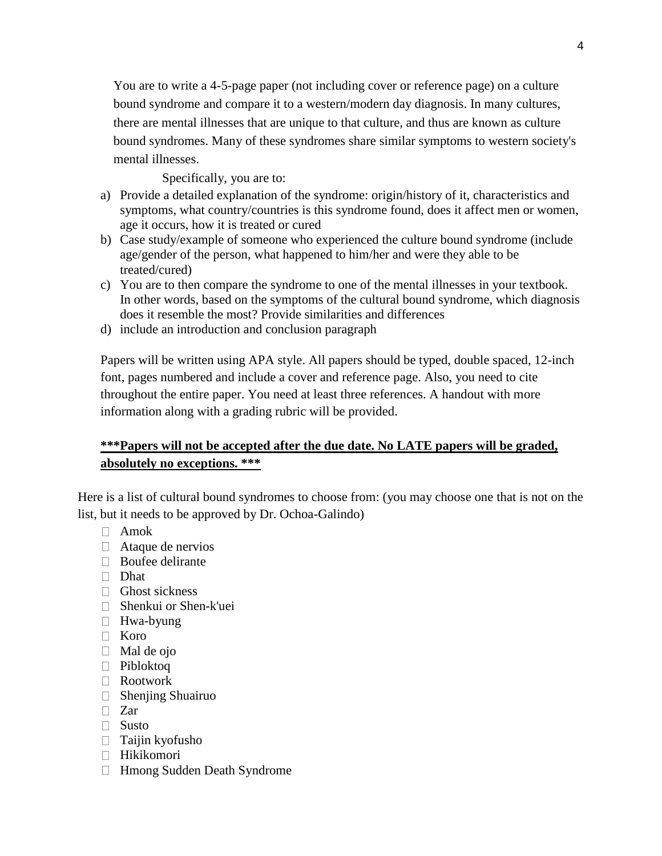You are to write a 4-5-page paper (not including cover or reference page) on a culture bound syndrome and compare it to a western/modern day diagnosis. In many cultures, there are mental illnesses that are unique to that culture, and thus are known as culture bound syndromes. Many of these syndromes share similar symptoms to western society's mental illnesses.

## Specifically, you are to:

- a) Provide a detailed explanation of the syndrome: origin/history of it, characteristics and symptoms, what country/countries is this syndrome found, does it affect men or women, age it occurs, how it is treated or cured
- b) Case study/example of someone who experienced the culture bound syndrome (include age/gender of the person, what happened to him/her and were they able to be treated/cured)
- c) You are to then compare the syndrome to one of the mental illnesses in your textbook. In other words, based on the symptoms of the cultural bound syndrome, which diagnosis does it resemble the most? Provide similarities and differences
- d) include an introduction and conclusion paragraph

Papers will be written using APA style. All papers should be typed, double spaced, 12-inch font, pages numbered and include a cover and reference page. Also, you need to cite throughout the entire paper. You need at least three references. A handout with more information along with a grading rubric will be provided.

# **\*\*\*Papers will not be accepted after the due date. No LATE papers will be graded, absolutely no exceptions. \*\*\***

Here is a list of cultural bound syndromes to choose from: (you may choose one that is not on the list, but it needs to be approved by Dr. Ochoa-Galindo)

- Amok
- □ Ataque de nervios
- □ Boufee delirante
- Dhat
- $\Box$  Ghost sickness
- Shenkui or Shen-k'uei
- □ Hwa-byung
- Koro
- $\Box$  Mal de ojo
- Pibloktoq
- Rootwork
- $\Box$  Shenjing Shuairuo
- □ Zar
- □ Susto
- $\Box$  Taijin kyofusho
- Hikikomori
- Hmong Sudden Death Syndrome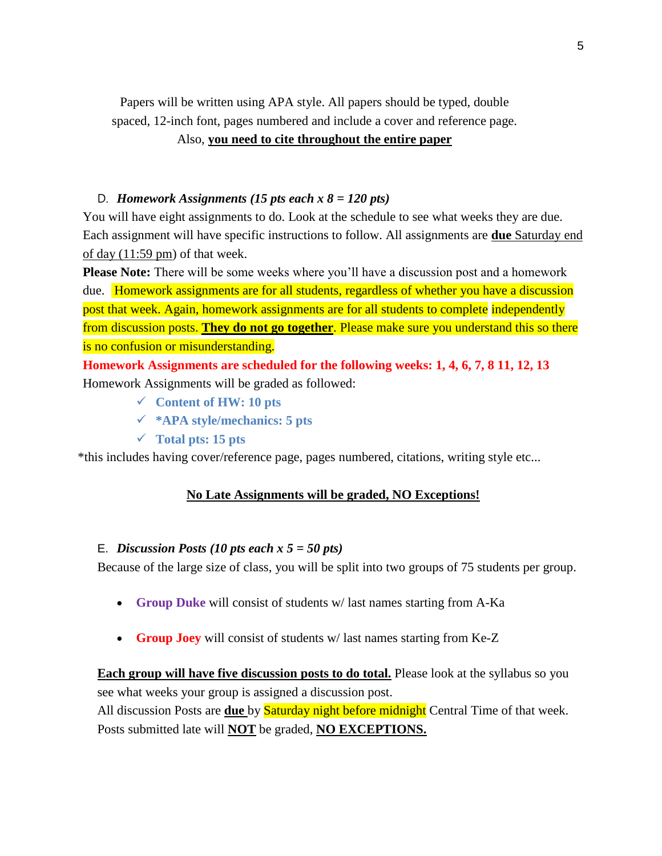Papers will be written using APA style. All papers should be typed, double spaced, 12-inch font, pages numbered and include a cover and reference page.

## Also, **you need to cite throughout the entire paper**

## D. *Homework Assignments (15 pts each x 8 = 120 pts)*

You will have eight assignments to do. Look at the schedule to see what weeks they are due. Each assignment will have specific instructions to follow. All assignments are **due** Saturday end of day (11:59 pm) of that week.

**Please Note:** There will be some weeks where you'll have a discussion post and a homework due. Homework assignments are for all students, regardless of whether you have a discussion post that week. Again, homework assignments are for all students to complete independently from discussion posts. **They do not go together**. Please make sure you understand this so there is no confusion or misunderstanding.

**Homework Assignments are scheduled for the following weeks: 1, 4, 6, 7, 8 11, 12, 13** Homework Assignments will be graded as followed:

- **Content of HW: 10 pts**
- **\*APA style/mechanics: 5 pts**
- **Total pts: 15 pts**

\*this includes having cover/reference page, pages numbered, citations, writing style etc...

#### **No Late Assignments will be graded, NO Exceptions!**

### E. *Discussion Posts (10 pts each x 5 = 50 pts)*

Because of the large size of class, you will be split into two groups of 75 students per group.

- **Group Duke** will consist of students w/ last names starting from A-Ka
- **Group Joey** will consist of students w/ last names starting from Ke-Z

**Each group will have five discussion posts to do total.** Please look at the syllabus so you see what weeks your group is assigned a discussion post. All discussion Posts are **due** by Saturday night before midnight Central Time of that week. Posts submitted late will **NOT** be graded, **NO EXCEPTIONS.**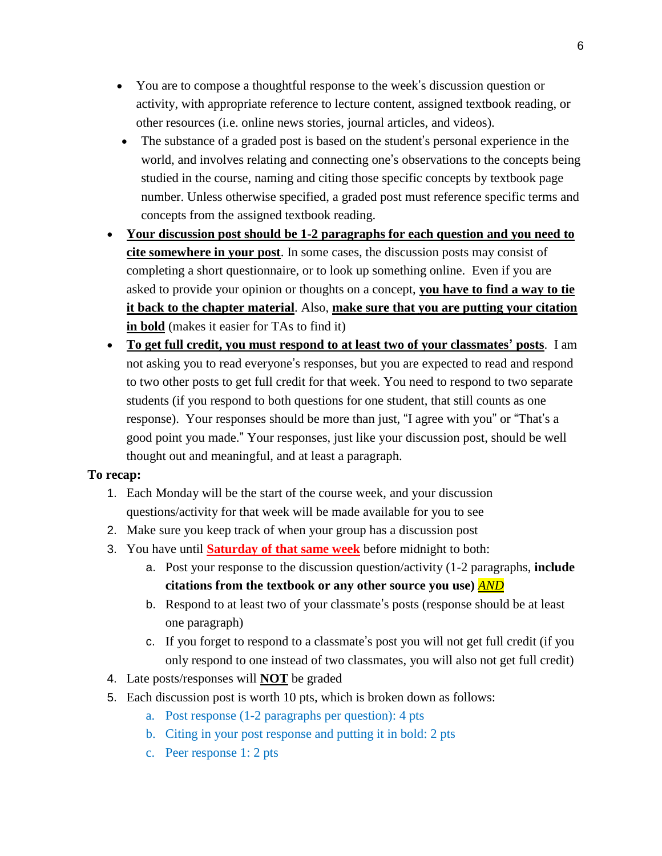- You are to compose a thoughtful response to the week's discussion question or activity, with appropriate reference to lecture content, assigned textbook reading, or other resources (i.e. online news stories, journal articles, and videos).
- The substance of a graded post is based on the student's personal experience in the world, and involves relating and connecting one's observations to the concepts being studied in the course, naming and citing those specific concepts by textbook page number. Unless otherwise specified, a graded post must reference specific terms and concepts from the assigned textbook reading.
- **Your discussion post should be 1-2 paragraphs for each question and you need to cite somewhere in your post**. In some cases, the discussion posts may consist of completing a short questionnaire, or to look up something online. Even if you are asked to provide your opinion or thoughts on a concept, **you have to find a way to tie it back to the chapter material**. Also, **make sure that you are putting your citation in bold** (makes it easier for TAs to find it)
- **To get full credit, you must respond to at least two of your classmates' posts**. I am not asking you to read everyone's responses, but you are expected to read and respond to two other posts to get full credit for that week. You need to respond to two separate students (if you respond to both questions for one student, that still counts as one response). Your responses should be more than just, "I agree with you" or "That's a good point you made." Your responses, just like your discussion post, should be well thought out and meaningful, and at least a paragraph.

# **To recap:**

- 1. Each Monday will be the start of the course week, and your discussion questions/activity for that week will be made available for you to see
- 2. Make sure you keep track of when your group has a discussion post
- 3. You have until **Saturday of that same week** before midnight to both:
	- a. Post your response to the discussion question/activity (1-2 paragraphs, **include citations from the textbook or any other source you use)** *AND*
	- b. Respond to at least two of your classmate's posts (response should be at least one paragraph)
	- c. If you forget to respond to a classmate's post you will not get full credit (if you only respond to one instead of two classmates, you will also not get full credit)
- 4. Late posts/responses will **NOT** be graded
- 5. Each discussion post is worth 10 pts, which is broken down as follows:
	- a. Post response (1-2 paragraphs per question): 4 pts
	- b. Citing in your post response and putting it in bold: 2 pts
	- c. Peer response 1: 2 pts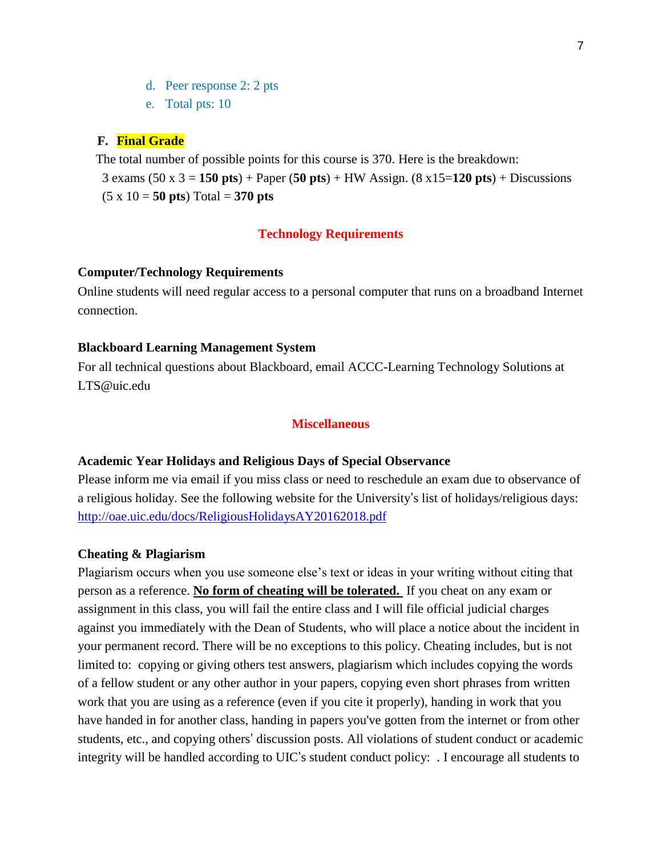- d. Peer response 2: 2 pts
- e. Total pts: 10

#### **F. Final Grade**

 The total number of possible points for this course is 370. Here is the breakdown: 3 exams (50 x 3 = **150 pts**) + Paper (**50 pts**) + HW Assign. (8 x15=**120 pts**) + Discussions  $(5 \times 10 = 50 \text{ pts}) \text{Total} = 370 \text{ pts}$ 

### **Technology Requirements**

#### **Computer/Technology Requirements**

Online students will need regular access to a personal computer that runs on a broadband Internet connection.

#### **Blackboard Learning Management System**

For all technical questions about Blackboard, email ACCC-Learning Technology Solutions at LTS@uic.edu

## **Miscellaneous**

#### **Academic Year Holidays and Religious Days of Special Observance**

Please inform me via email if you miss class or need to reschedule an exam due to observance of a religious holiday. See the following website for the University's list of holidays/religious days: http://oae.uic.edu/docs/ReligiousHolidaysAY20162018.pdf

#### **Cheating & Plagiarism**

Plagiarism occurs when you use someone else's text or ideas in your writing without citing that person as a reference. **No form of cheating will be tolerated.** If you cheat on any exam or assignment in this class, you will fail the entire class and I will file official judicial charges against you immediately with the Dean of Students, who will place a notice about the incident in your permanent record. There will be no exceptions to this policy. Cheating includes, but is not limited to: copying or giving others test answers, plagiarism which includes copying the words of a fellow student or any other author in your papers, copying even short phrases from written work that you are using as a reference (even if you cite it properly), handing in work that you have handed in for another class, handing in papers you've gotten from the internet or from other students, etc., and copying others' discussion posts. All violations of student conduct or academic integrity will be handled according to UIC's student conduct policy: . I encourage all students to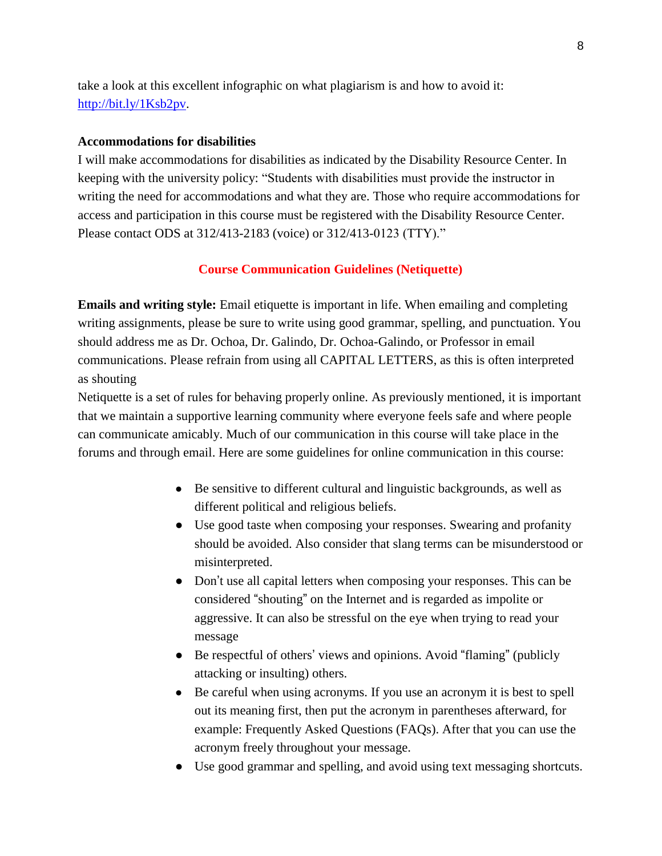take a look at this excellent infographic on what plagiarism is and how to avoid it: http://bit.ly/1Ksb2pv.

#### **Accommodations for disabilities**

I will make accommodations for disabilities as indicated by the Disability Resource Center. In keeping with the university policy: "Students with disabilities must provide the instructor in writing the need for accommodations and what they are. Those who require accommodations for access and participation in this course must be registered with the Disability Resource Center. Please contact ODS at 312/413-2183 (voice) or 312/413-0123 (TTY)."

#### **Course Communication Guidelines (Netiquette)**

**Emails and writing style:** Email etiquette is important in life. When emailing and completing writing assignments, please be sure to write using good grammar, spelling, and punctuation. You should address me as Dr. Ochoa, Dr. Galindo, Dr. Ochoa-Galindo, or Professor in email communications. Please refrain from using all CAPITAL LETTERS, as this is often interpreted as shouting

Netiquette is a set of rules for behaving properly online. As previously mentioned, it is important that we maintain a supportive learning community where everyone feels safe and where people can communicate amicably. Much of our communication in this course will take place in the forums and through email. Here are some guidelines for online communication in this course:

- Be sensitive to different cultural and linguistic backgrounds, as well as different political and religious beliefs.
- Use good taste when composing your responses. Swearing and profanity should be avoided. Also consider that slang terms can be misunderstood or misinterpreted.
- Don't use all capital letters when composing your responses. This can be considered "shouting" on the Internet and is regarded as impolite or aggressive. It can also be stressful on the eye when trying to read your message
- Be respectful of others' views and opinions. Avoid "flaming" (publicly attacking or insulting) others.
- Be careful when using acronyms. If you use an acronym it is best to spell out its meaning first, then put the acronym in parentheses afterward, for example: Frequently Asked Questions (FAQs). After that you can use the acronym freely throughout your message.
- Use good grammar and spelling, and avoid using text messaging shortcuts.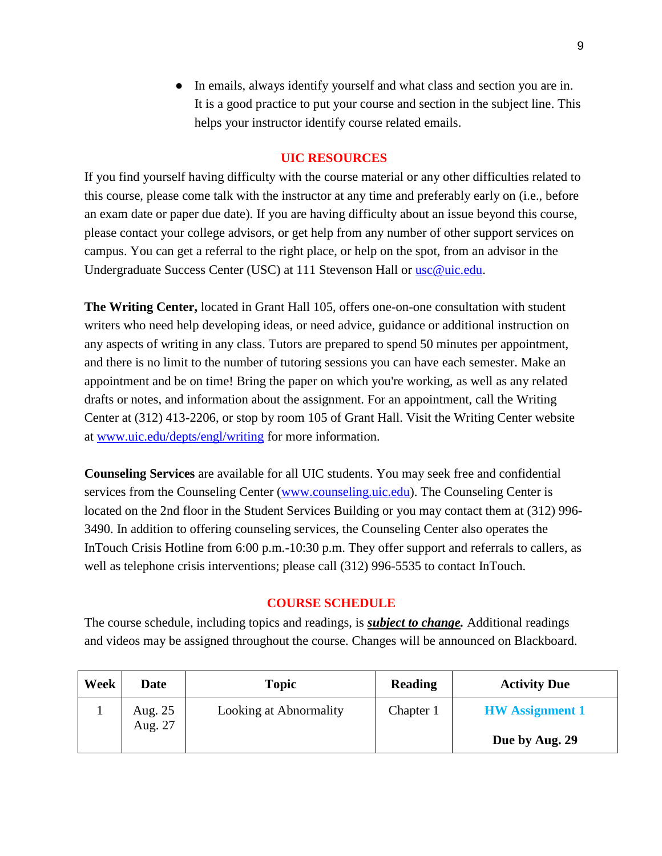● In emails, always identify yourself and what class and section you are in. It is a good practice to put your course and section in the subject line. This helps your instructor identify course related emails.

## **UIC RESOURCES**

If you find yourself having difficulty with the course material or any other difficulties related to this course, please come talk with the instructor at any time and preferably early on (i.e., before an exam date or paper due date). If you are having difficulty about an issue beyond this course, please contact your college advisors, or get help from any number of other support services on campus. You can get a referral to the right place, or help on the spot, from an advisor in the Undergraduate Success Center (USC) at 111 Stevenson Hall or usc@uic.edu.

**The Writing Center,** located in Grant Hall 105, offers one-on-one consultation with student writers who need help developing ideas, or need advice, guidance or additional instruction on any aspects of writing in any class. Tutors are prepared to spend 50 minutes per appointment, and there is no limit to the number of tutoring sessions you can have each semester. Make an appointment and be on time! Bring the paper on which you're working, as well as any related drafts or notes, and information about the assignment. For an appointment, call the Writing Center at (312) 413-2206, or stop by room 105 of Grant Hall. Visit the Writing Center website at www.uic.edu/depts/engl/writing for more information.

**Counseling Services** are available for all UIC students. You may seek free and confidential services from the Counseling Center (www.counseling.uic.edu). The Counseling Center is located on the 2nd floor in the Student Services Building or you may contact them at (312) 996- 3490. In addition to offering counseling services, the Counseling Center also operates the InTouch Crisis Hotline from 6:00 p.m.-10:30 p.m. They offer support and referrals to callers, as well as telephone crisis interventions; please call (312) 996-5535 to contact InTouch.

## **COURSE SCHEDULE**

The course schedule, including topics and readings, is *subject to change.* Additional readings and videos may be assigned throughout the course. Changes will be announced on Blackboard.

| Week | Date               | <b>Topic</b>           | Reading   | <b>Activity Due</b>    |
|------|--------------------|------------------------|-----------|------------------------|
|      | Aug. 25<br>Aug. 27 | Looking at Abnormality | Chapter 1 | <b>HW</b> Assignment 1 |
|      |                    |                        |           | Due by Aug. 29         |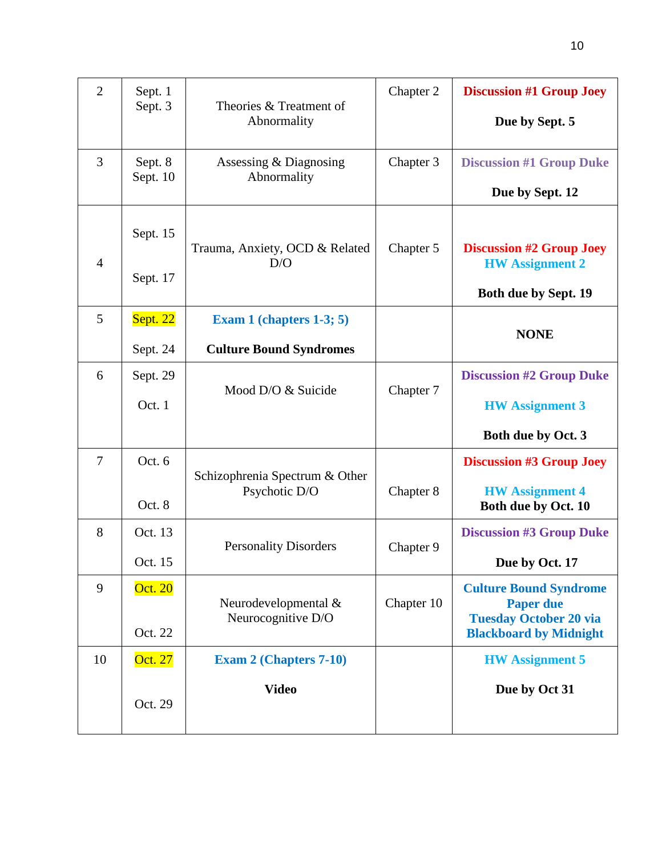| $\overline{2}$ | Sept. 1<br>Sept. 3   | Theories & Treatment of<br>Abnormality     | Chapter 2  | <b>Discussion #1 Group Joey</b><br>Due by Sept. 5                                                                   |
|----------------|----------------------|--------------------------------------------|------------|---------------------------------------------------------------------------------------------------------------------|
| 3              | Sept. 8<br>Sept. 10  | Assessing & Diagnosing<br>Abnormality      | Chapter 3  | <b>Discussion #1 Group Duke</b><br>Due by Sept. 12                                                                  |
| $\overline{4}$ | Sept. 15<br>Sept. 17 | Trauma, Anxiety, OCD & Related<br>D/O      | Chapter 5  | <b>Discussion #2 Group Joey</b><br><b>HW</b> Assignment 2<br>Both due by Sept. 19                                   |
| 5              | <b>Sept. 22</b>      | Exam 1 (chapters $1-3$ ; 5)                |            | <b>NONE</b>                                                                                                         |
|                | Sept. 24             | <b>Culture Bound Syndromes</b>             |            |                                                                                                                     |
| 6              | Sept. 29             |                                            |            | <b>Discussion #2 Group Duke</b>                                                                                     |
|                | Oct. 1               | Mood D/O & Suicide                         | Chapter 7  | <b>HW</b> Assignment 3<br>Both due by Oct. 3                                                                        |
|                |                      |                                            |            |                                                                                                                     |
| $\overline{7}$ | Oct. 6               | Schizophrenia Spectrum & Other             | Chapter 8  | <b>Discussion #3 Group Joey</b>                                                                                     |
|                | Oct. 8               | Psychotic D/O                              |            | <b>HW</b> Assignment 4<br>Both due by Oct. 10                                                                       |
| 8              | Oct. 13              |                                            |            | <b>Discussion #3 Group Duke</b>                                                                                     |
|                |                      | <b>Personality Disorders</b>               | Chapter 9  |                                                                                                                     |
|                | Oct. 15              |                                            |            | Due by Oct. 17                                                                                                      |
| 9              | Oct. 20<br>Oct. 22   | Neurodevelopmental &<br>Neurocognitive D/O | Chapter 10 | <b>Culture Bound Syndrome</b><br><b>Paper due</b><br><b>Tuesday October 20 via</b><br><b>Blackboard by Midnight</b> |
| 10             | Oct. 27              | <b>Exam 2 (Chapters 7-10)</b>              |            | <b>HW</b> Assignment 5                                                                                              |
|                | Oct. 29              | <b>Video</b>                               |            | Due by Oct 31                                                                                                       |